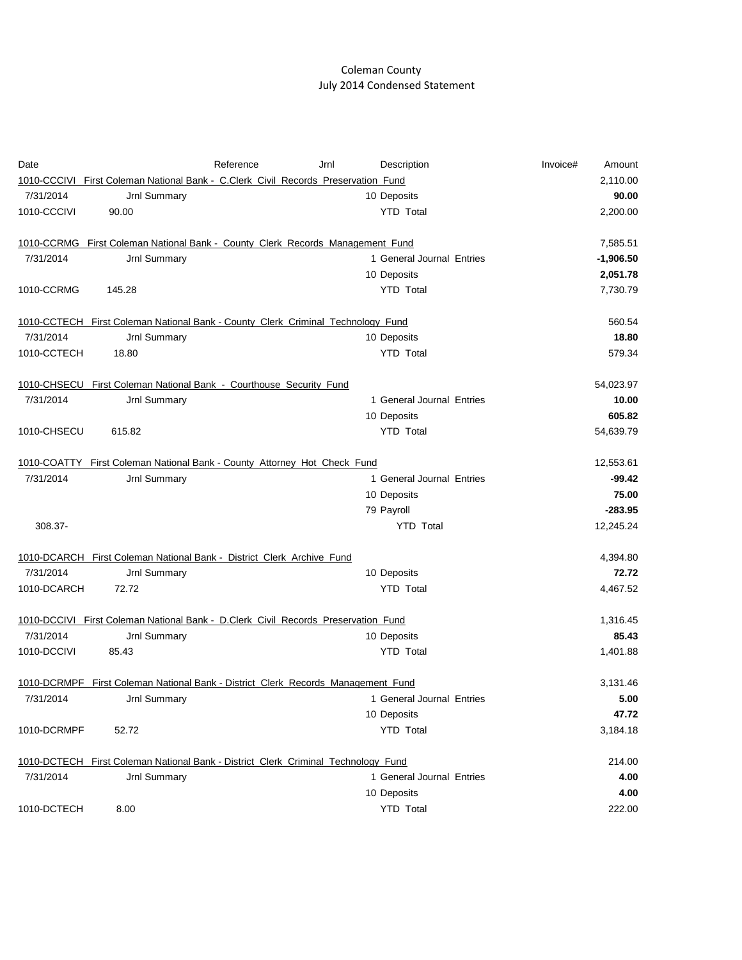## Coleman County July 2014 Condensed Statement

| Date        |                                                                                   | Reference | Jrnl | Description               | Invoice# | Amount      |
|-------------|-----------------------------------------------------------------------------------|-----------|------|---------------------------|----------|-------------|
|             | 1010-CCCIVI First Coleman National Bank - C.Clerk Civil Records Preservation Fund |           |      |                           |          | 2,110.00    |
| 7/31/2014   | Jrnl Summary                                                                      |           |      | 10 Deposits               |          | 90.00       |
| 1010-CCCIVI | 90.00                                                                             |           |      | <b>YTD Total</b>          |          | 2,200.00    |
|             | 1010-CCRMG First Coleman National Bank - County Clerk Records Management Fund     |           |      |                           |          | 7,585.51    |
| 7/31/2014   | Jrnl Summary                                                                      |           |      | 1 General Journal Entries |          | $-1,906.50$ |
|             |                                                                                   |           |      | 10 Deposits               |          | 2,051.78    |
| 1010-CCRMG  | 145.28                                                                            |           |      | <b>YTD Total</b>          |          | 7,730.79    |
|             | 1010-CCTECH First Coleman National Bank - County Clerk Criminal Technology Fund   |           |      |                           |          | 560.54      |
| 7/31/2014   | Jrnl Summary                                                                      |           |      | 10 Deposits               |          | 18.80       |
| 1010-CCTECH | 18.80                                                                             |           |      | <b>YTD Total</b>          |          | 579.34      |
|             | 1010-CHSECU First Coleman National Bank - Courthouse Security Fund                |           |      |                           |          | 54,023.97   |
| 7/31/2014   | Jrnl Summary                                                                      |           |      | 1 General Journal Entries |          | 10.00       |
|             |                                                                                   |           |      | 10 Deposits               |          | 605.82      |
| 1010-CHSECU | 615.82                                                                            |           |      | <b>YTD Total</b>          |          | 54,639.79   |
|             | 1010-COATTY First Coleman National Bank - County Attorney Hot Check Fund          |           |      |                           |          | 12,553.61   |
| 7/31/2014   | Jrnl Summary                                                                      |           |      | 1 General Journal Entries |          | $-99.42$    |
|             |                                                                                   |           |      | 10 Deposits               |          | 75.00       |
|             |                                                                                   |           |      | 79 Payroll                |          | $-283.95$   |
| 308.37-     |                                                                                   |           |      | <b>YTD Total</b>          |          | 12,245.24   |
|             | 1010-DCARCH First Coleman National Bank - District Clerk Archive Fund             |           |      |                           |          | 4,394.80    |
| 7/31/2014   | Jrnl Summary                                                                      |           |      | 10 Deposits               |          | 72.72       |
| 1010-DCARCH | 72.72                                                                             |           |      | <b>YTD Total</b>          |          | 4,467.52    |
|             | 1010-DCCIVI First Coleman National Bank - D.Clerk Civil Records Preservation Fund |           |      |                           |          | 1,316.45    |
| 7/31/2014   | Jrnl Summary                                                                      |           |      | 10 Deposits               |          | 85.43       |
| 1010-DCCIVI | 85.43                                                                             |           |      | <b>YTD Total</b>          |          | 1,401.88    |
|             | 1010-DCRMPF First Coleman National Bank - District Clerk Records Management Fund  |           |      |                           |          | 3,131.46    |
| 7/31/2014   | Jrnl Summary                                                                      |           |      | 1 General Journal Entries |          | 5.00        |
|             |                                                                                   |           |      | 10 Deposits               |          | 47.72       |
| 1010-DCRMPF | 52.72                                                                             |           |      | <b>YTD Total</b>          |          | 3,184.18    |
|             | 1010-DCTECH First Coleman National Bank - District Clerk Criminal Technology Fund |           |      |                           |          | 214.00      |
| 7/31/2014   | Jrnl Summary                                                                      |           |      | 1 General Journal Entries |          | 4.00        |
|             |                                                                                   |           |      | 10 Deposits               |          | 4.00        |
| 1010-DCTECH | 8.00                                                                              |           |      | <b>YTD Total</b>          |          | 222.00      |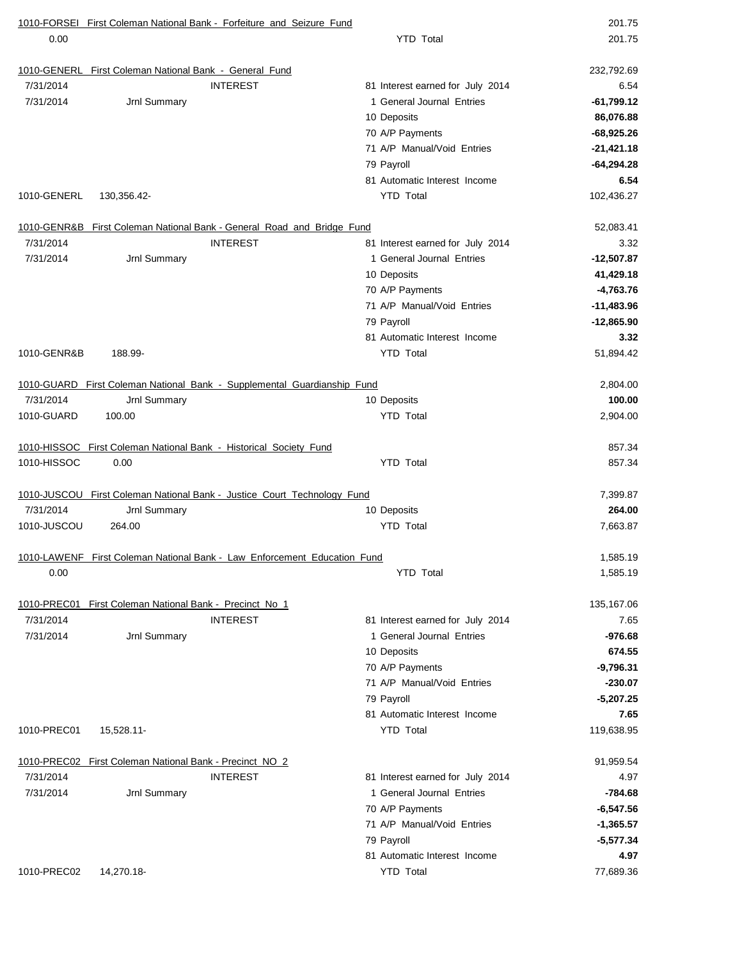| 0.00<br><b>YTD Total</b><br>1010-GENERL First Coleman National Bank - General Fund<br><b>INTEREST</b><br>81 Interest earned for July 2014<br>7/31/2014<br>7/31/2014<br>Jrnl Summary<br>1 General Journal Entries<br>10 Deposits<br>70 A/P Payments<br>71 A/P Manual/Void Entries<br>79 Payroll<br>81 Automatic Interest Income<br><b>YTD Total</b><br>1010-GENERL<br>130,356.42-<br>1010-GENR&B First Coleman National Bank - General Road and Bridge Fund<br>7/31/2014<br><b>INTEREST</b><br>81 Interest earned for July 2014<br>7/31/2014<br>1 General Journal Entries<br>Jrnl Summary<br>10 Deposits<br>70 A/P Payments<br>71 A/P Manual/Void Entries<br>79 Payroll<br>81 Automatic Interest Income<br>1010-GENR&B<br><b>YTD Total</b><br>188.99-<br>1010-GUARD First Coleman National Bank - Supplemental Guardianship Fund<br>7/31/2014<br>Jrnl Summary<br>10 Deposits<br>1010-GUARD<br><b>YTD Total</b><br>100.00<br>1010-HISSOC First Coleman National Bank - Historical Society Fund<br>1010-HISSOC<br><b>YTD Total</b><br>0.00<br>1010-JUSCOU First Coleman National Bank - Justice Court Technology Fund<br>7/31/2014<br>10 Deposits<br>Jrnl Summary<br>1010-JUSCOU<br><b>YTD Total</b><br>264.00<br>1010-LAWENF First Coleman National Bank - Law Enforcement Education Fund<br><b>YTD</b> Total<br>0.00<br>First Coleman National Bank - Precinct No 1<br>1010-PREC01<br>7/31/2014<br><b>INTEREST</b><br>81 Interest earned for July 2014<br>7/31/2014<br>1 General Journal Entries<br>Jrnl Summary | 201.75<br>232,792.69<br>6.54<br>$-61,799.12$<br>86,076.88<br>$-68,925.26$<br>$-21,421.18$<br>$-64,294.28$<br>6.54<br>102,436.27<br>52,083.41<br>3.32<br>$-12,507.87$<br>41,429.18<br>$-4,763.76$<br>$-11,483.96$<br>$-12,865.90$<br>3.32<br>51,894.42<br>2,804.00<br>100.00 |
|-----------------------------------------------------------------------------------------------------------------------------------------------------------------------------------------------------------------------------------------------------------------------------------------------------------------------------------------------------------------------------------------------------------------------------------------------------------------------------------------------------------------------------------------------------------------------------------------------------------------------------------------------------------------------------------------------------------------------------------------------------------------------------------------------------------------------------------------------------------------------------------------------------------------------------------------------------------------------------------------------------------------------------------------------------------------------------------------------------------------------------------------------------------------------------------------------------------------------------------------------------------------------------------------------------------------------------------------------------------------------------------------------------------------------------------------------------------------------------------------------------------------|-----------------------------------------------------------------------------------------------------------------------------------------------------------------------------------------------------------------------------------------------------------------------------|
|                                                                                                                                                                                                                                                                                                                                                                                                                                                                                                                                                                                                                                                                                                                                                                                                                                                                                                                                                                                                                                                                                                                                                                                                                                                                                                                                                                                                                                                                                                                 |                                                                                                                                                                                                                                                                             |
|                                                                                                                                                                                                                                                                                                                                                                                                                                                                                                                                                                                                                                                                                                                                                                                                                                                                                                                                                                                                                                                                                                                                                                                                                                                                                                                                                                                                                                                                                                                 |                                                                                                                                                                                                                                                                             |
|                                                                                                                                                                                                                                                                                                                                                                                                                                                                                                                                                                                                                                                                                                                                                                                                                                                                                                                                                                                                                                                                                                                                                                                                                                                                                                                                                                                                                                                                                                                 |                                                                                                                                                                                                                                                                             |
|                                                                                                                                                                                                                                                                                                                                                                                                                                                                                                                                                                                                                                                                                                                                                                                                                                                                                                                                                                                                                                                                                                                                                                                                                                                                                                                                                                                                                                                                                                                 |                                                                                                                                                                                                                                                                             |
|                                                                                                                                                                                                                                                                                                                                                                                                                                                                                                                                                                                                                                                                                                                                                                                                                                                                                                                                                                                                                                                                                                                                                                                                                                                                                                                                                                                                                                                                                                                 |                                                                                                                                                                                                                                                                             |
|                                                                                                                                                                                                                                                                                                                                                                                                                                                                                                                                                                                                                                                                                                                                                                                                                                                                                                                                                                                                                                                                                                                                                                                                                                                                                                                                                                                                                                                                                                                 |                                                                                                                                                                                                                                                                             |
|                                                                                                                                                                                                                                                                                                                                                                                                                                                                                                                                                                                                                                                                                                                                                                                                                                                                                                                                                                                                                                                                                                                                                                                                                                                                                                                                                                                                                                                                                                                 |                                                                                                                                                                                                                                                                             |
|                                                                                                                                                                                                                                                                                                                                                                                                                                                                                                                                                                                                                                                                                                                                                                                                                                                                                                                                                                                                                                                                                                                                                                                                                                                                                                                                                                                                                                                                                                                 |                                                                                                                                                                                                                                                                             |
|                                                                                                                                                                                                                                                                                                                                                                                                                                                                                                                                                                                                                                                                                                                                                                                                                                                                                                                                                                                                                                                                                                                                                                                                                                                                                                                                                                                                                                                                                                                 |                                                                                                                                                                                                                                                                             |
|                                                                                                                                                                                                                                                                                                                                                                                                                                                                                                                                                                                                                                                                                                                                                                                                                                                                                                                                                                                                                                                                                                                                                                                                                                                                                                                                                                                                                                                                                                                 |                                                                                                                                                                                                                                                                             |
|                                                                                                                                                                                                                                                                                                                                                                                                                                                                                                                                                                                                                                                                                                                                                                                                                                                                                                                                                                                                                                                                                                                                                                                                                                                                                                                                                                                                                                                                                                                 |                                                                                                                                                                                                                                                                             |
|                                                                                                                                                                                                                                                                                                                                                                                                                                                                                                                                                                                                                                                                                                                                                                                                                                                                                                                                                                                                                                                                                                                                                                                                                                                                                                                                                                                                                                                                                                                 |                                                                                                                                                                                                                                                                             |
|                                                                                                                                                                                                                                                                                                                                                                                                                                                                                                                                                                                                                                                                                                                                                                                                                                                                                                                                                                                                                                                                                                                                                                                                                                                                                                                                                                                                                                                                                                                 |                                                                                                                                                                                                                                                                             |
|                                                                                                                                                                                                                                                                                                                                                                                                                                                                                                                                                                                                                                                                                                                                                                                                                                                                                                                                                                                                                                                                                                                                                                                                                                                                                                                                                                                                                                                                                                                 |                                                                                                                                                                                                                                                                             |
|                                                                                                                                                                                                                                                                                                                                                                                                                                                                                                                                                                                                                                                                                                                                                                                                                                                                                                                                                                                                                                                                                                                                                                                                                                                                                                                                                                                                                                                                                                                 |                                                                                                                                                                                                                                                                             |
|                                                                                                                                                                                                                                                                                                                                                                                                                                                                                                                                                                                                                                                                                                                                                                                                                                                                                                                                                                                                                                                                                                                                                                                                                                                                                                                                                                                                                                                                                                                 |                                                                                                                                                                                                                                                                             |
|                                                                                                                                                                                                                                                                                                                                                                                                                                                                                                                                                                                                                                                                                                                                                                                                                                                                                                                                                                                                                                                                                                                                                                                                                                                                                                                                                                                                                                                                                                                 |                                                                                                                                                                                                                                                                             |
|                                                                                                                                                                                                                                                                                                                                                                                                                                                                                                                                                                                                                                                                                                                                                                                                                                                                                                                                                                                                                                                                                                                                                                                                                                                                                                                                                                                                                                                                                                                 |                                                                                                                                                                                                                                                                             |
|                                                                                                                                                                                                                                                                                                                                                                                                                                                                                                                                                                                                                                                                                                                                                                                                                                                                                                                                                                                                                                                                                                                                                                                                                                                                                                                                                                                                                                                                                                                 |                                                                                                                                                                                                                                                                             |
|                                                                                                                                                                                                                                                                                                                                                                                                                                                                                                                                                                                                                                                                                                                                                                                                                                                                                                                                                                                                                                                                                                                                                                                                                                                                                                                                                                                                                                                                                                                 |                                                                                                                                                                                                                                                                             |
|                                                                                                                                                                                                                                                                                                                                                                                                                                                                                                                                                                                                                                                                                                                                                                                                                                                                                                                                                                                                                                                                                                                                                                                                                                                                                                                                                                                                                                                                                                                 |                                                                                                                                                                                                                                                                             |
|                                                                                                                                                                                                                                                                                                                                                                                                                                                                                                                                                                                                                                                                                                                                                                                                                                                                                                                                                                                                                                                                                                                                                                                                                                                                                                                                                                                                                                                                                                                 | 2,904.00                                                                                                                                                                                                                                                                    |
|                                                                                                                                                                                                                                                                                                                                                                                                                                                                                                                                                                                                                                                                                                                                                                                                                                                                                                                                                                                                                                                                                                                                                                                                                                                                                                                                                                                                                                                                                                                 | 857.34                                                                                                                                                                                                                                                                      |
|                                                                                                                                                                                                                                                                                                                                                                                                                                                                                                                                                                                                                                                                                                                                                                                                                                                                                                                                                                                                                                                                                                                                                                                                                                                                                                                                                                                                                                                                                                                 | 857.34                                                                                                                                                                                                                                                                      |
|                                                                                                                                                                                                                                                                                                                                                                                                                                                                                                                                                                                                                                                                                                                                                                                                                                                                                                                                                                                                                                                                                                                                                                                                                                                                                                                                                                                                                                                                                                                 | 7,399.87                                                                                                                                                                                                                                                                    |
|                                                                                                                                                                                                                                                                                                                                                                                                                                                                                                                                                                                                                                                                                                                                                                                                                                                                                                                                                                                                                                                                                                                                                                                                                                                                                                                                                                                                                                                                                                                 | 264.00                                                                                                                                                                                                                                                                      |
|                                                                                                                                                                                                                                                                                                                                                                                                                                                                                                                                                                                                                                                                                                                                                                                                                                                                                                                                                                                                                                                                                                                                                                                                                                                                                                                                                                                                                                                                                                                 | 7,663.87                                                                                                                                                                                                                                                                    |
|                                                                                                                                                                                                                                                                                                                                                                                                                                                                                                                                                                                                                                                                                                                                                                                                                                                                                                                                                                                                                                                                                                                                                                                                                                                                                                                                                                                                                                                                                                                 | 1,585.19                                                                                                                                                                                                                                                                    |
|                                                                                                                                                                                                                                                                                                                                                                                                                                                                                                                                                                                                                                                                                                                                                                                                                                                                                                                                                                                                                                                                                                                                                                                                                                                                                                                                                                                                                                                                                                                 | 1,585.19                                                                                                                                                                                                                                                                    |
|                                                                                                                                                                                                                                                                                                                                                                                                                                                                                                                                                                                                                                                                                                                                                                                                                                                                                                                                                                                                                                                                                                                                                                                                                                                                                                                                                                                                                                                                                                                 | 135,167.06                                                                                                                                                                                                                                                                  |
|                                                                                                                                                                                                                                                                                                                                                                                                                                                                                                                                                                                                                                                                                                                                                                                                                                                                                                                                                                                                                                                                                                                                                                                                                                                                                                                                                                                                                                                                                                                 | 7.65                                                                                                                                                                                                                                                                        |
|                                                                                                                                                                                                                                                                                                                                                                                                                                                                                                                                                                                                                                                                                                                                                                                                                                                                                                                                                                                                                                                                                                                                                                                                                                                                                                                                                                                                                                                                                                                 | $-976.68$                                                                                                                                                                                                                                                                   |
| 10 Deposits                                                                                                                                                                                                                                                                                                                                                                                                                                                                                                                                                                                                                                                                                                                                                                                                                                                                                                                                                                                                                                                                                                                                                                                                                                                                                                                                                                                                                                                                                                     | 674.55                                                                                                                                                                                                                                                                      |
| 70 A/P Payments                                                                                                                                                                                                                                                                                                                                                                                                                                                                                                                                                                                                                                                                                                                                                                                                                                                                                                                                                                                                                                                                                                                                                                                                                                                                                                                                                                                                                                                                                                 | $-9,796.31$                                                                                                                                                                                                                                                                 |
| 71 A/P Manual/Void Entries                                                                                                                                                                                                                                                                                                                                                                                                                                                                                                                                                                                                                                                                                                                                                                                                                                                                                                                                                                                                                                                                                                                                                                                                                                                                                                                                                                                                                                                                                      | $-230.07$                                                                                                                                                                                                                                                                   |
| 79 Payroll                                                                                                                                                                                                                                                                                                                                                                                                                                                                                                                                                                                                                                                                                                                                                                                                                                                                                                                                                                                                                                                                                                                                                                                                                                                                                                                                                                                                                                                                                                      | $-5,207.25$                                                                                                                                                                                                                                                                 |
| 81 Automatic Interest Income                                                                                                                                                                                                                                                                                                                                                                                                                                                                                                                                                                                                                                                                                                                                                                                                                                                                                                                                                                                                                                                                                                                                                                                                                                                                                                                                                                                                                                                                                    | 7.65                                                                                                                                                                                                                                                                        |
| 1010-PREC01<br>15,528.11-<br><b>YTD Total</b>                                                                                                                                                                                                                                                                                                                                                                                                                                                                                                                                                                                                                                                                                                                                                                                                                                                                                                                                                                                                                                                                                                                                                                                                                                                                                                                                                                                                                                                                   | 119,638.95                                                                                                                                                                                                                                                                  |
| 1010-PREC02 First Coleman National Bank - Precinct NO 2                                                                                                                                                                                                                                                                                                                                                                                                                                                                                                                                                                                                                                                                                                                                                                                                                                                                                                                                                                                                                                                                                                                                                                                                                                                                                                                                                                                                                                                         |                                                                                                                                                                                                                                                                             |
| 7/31/2014<br><b>INTEREST</b><br>81 Interest earned for July 2014                                                                                                                                                                                                                                                                                                                                                                                                                                                                                                                                                                                                                                                                                                                                                                                                                                                                                                                                                                                                                                                                                                                                                                                                                                                                                                                                                                                                                                                | 91,959.54                                                                                                                                                                                                                                                                   |
| 7/31/2014<br>1 General Journal Entries<br>Jrnl Summary                                                                                                                                                                                                                                                                                                                                                                                                                                                                                                                                                                                                                                                                                                                                                                                                                                                                                                                                                                                                                                                                                                                                                                                                                                                                                                                                                                                                                                                          | 4.97                                                                                                                                                                                                                                                                        |
| 70 A/P Payments                                                                                                                                                                                                                                                                                                                                                                                                                                                                                                                                                                                                                                                                                                                                                                                                                                                                                                                                                                                                                                                                                                                                                                                                                                                                                                                                                                                                                                                                                                 | $-784.68$                                                                                                                                                                                                                                                                   |
| 71 A/P Manual/Void Entries                                                                                                                                                                                                                                                                                                                                                                                                                                                                                                                                                                                                                                                                                                                                                                                                                                                                                                                                                                                                                                                                                                                                                                                                                                                                                                                                                                                                                                                                                      | $-6,547.56$                                                                                                                                                                                                                                                                 |
| 79 Payroll                                                                                                                                                                                                                                                                                                                                                                                                                                                                                                                                                                                                                                                                                                                                                                                                                                                                                                                                                                                                                                                                                                                                                                                                                                                                                                                                                                                                                                                                                                      | $-1,365.57$                                                                                                                                                                                                                                                                 |
| 81 Automatic Interest Income                                                                                                                                                                                                                                                                                                                                                                                                                                                                                                                                                                                                                                                                                                                                                                                                                                                                                                                                                                                                                                                                                                                                                                                                                                                                                                                                                                                                                                                                                    | $-5,577.34$                                                                                                                                                                                                                                                                 |
| <b>YTD Total</b><br>1010-PREC02<br>14,270.18-                                                                                                                                                                                                                                                                                                                                                                                                                                                                                                                                                                                                                                                                                                                                                                                                                                                                                                                                                                                                                                                                                                                                                                                                                                                                                                                                                                                                                                                                   | 4.97                                                                                                                                                                                                                                                                        |